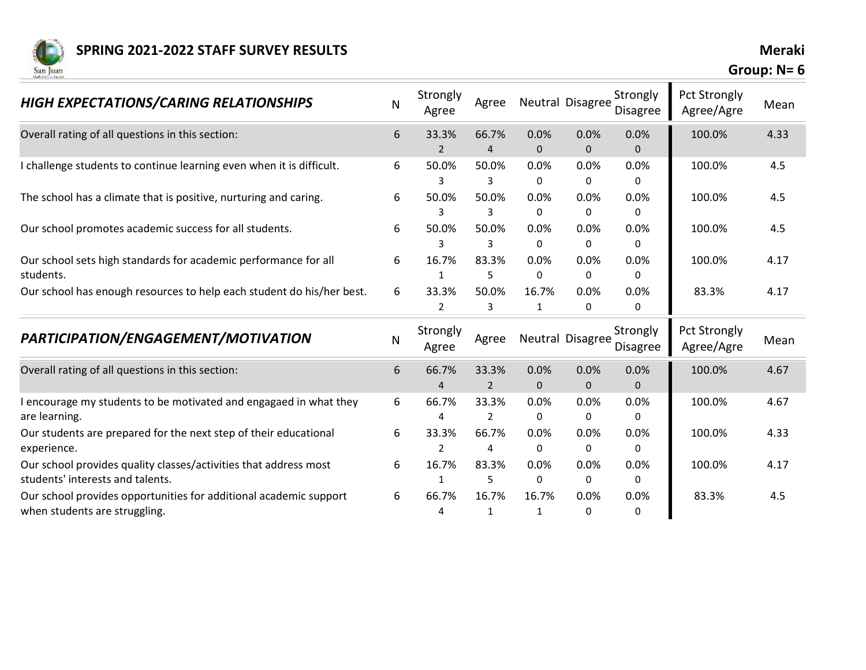

| <b>HIGH EXPECTATIONS/CARING RELATIONSHIPS</b>                                                        | N | Strongly<br>Agree       | Agree                   |                       | Neutral Disagree     | Strongly<br>Disagree | <b>Pct Strongly</b><br>Agree/Agre | Mean |
|------------------------------------------------------------------------------------------------------|---|-------------------------|-------------------------|-----------------------|----------------------|----------------------|-----------------------------------|------|
| Overall rating of all questions in this section:                                                     | 6 | 33.3%<br>$\overline{2}$ | 66.7%<br>$\overline{4}$ | 0.0%<br>$\mathbf{0}$  | 0.0%<br>$\mathbf{0}$ | 0.0%<br>$\mathbf 0$  | 100.0%                            | 4.33 |
| I challenge students to continue learning even when it is difficult.                                 | 6 | 50.0%                   | 50.0%<br>3              | 0.0%<br>0             | 0.0%<br>0            | 0.0%<br>0            | 100.0%                            | 4.5  |
| The school has a climate that is positive, nurturing and caring.                                     | 6 | 50.0%<br>3              | 50.0%<br>3              | 0.0%<br>0             | 0.0%<br>0            | 0.0%<br>0            | 100.0%                            | 4.5  |
| Our school promotes academic success for all students.                                               | 6 | 50.0%<br>3              | 50.0%<br>3              | 0.0%<br>0             | 0.0%<br>0            | 0.0%<br>0            | 100.0%                            | 4.5  |
| Our school sets high standards for academic performance for all<br>students.                         | 6 | 16.7%<br>1              | 83.3%<br>5              | 0.0%<br>0             | 0.0%<br>0            | 0.0%<br>0            | 100.0%                            | 4.17 |
| Our school has enough resources to help each student do his/her best.                                | 6 | 33.3%<br>$\mathcal{P}$  | 50.0%<br>$\overline{3}$ | 16.7%<br>$\mathbf{1}$ | 0.0%<br>0            | 0.0%<br>$\Omega$     | 83.3%                             | 4.17 |
| PARTICIPATION/ENGAGEMENT/MOTIVATION                                                                  | N | Strongly<br>Agree       | Agree                   |                       | Neutral Disagree     | Strongly<br>Disagree | Pct Strongly<br>Agree/Agre        | Mean |
| Overall rating of all questions in this section:                                                     | 6 | 66.7%<br>4              | 33.3%<br>$\overline{2}$ | 0.0%<br>$\mathbf{0}$  | 0.0%<br>$\mathbf 0$  | 0.0%<br>$\mathbf 0$  | 100.0%                            | 4.67 |
| I encourage my students to be motivated and engagaed in what they<br>are learning.                   | 6 | 66.7%<br>4              | 33.3%<br>$\overline{2}$ | 0.0%<br>0             | 0.0%<br>0            | 0.0%<br>0            | 100.0%                            | 4.67 |
| Our students are prepared for the next step of their educational<br>experience.                      | 6 | 33.3%                   | 66.7%<br>4              | 0.0%<br>0             | 0.0%<br>0            | 0.0%<br>0            | 100.0%                            | 4.33 |
| Our school provides quality classes/activities that address most<br>students' interests and talents. | 6 | 16.7%                   | 83.3%<br>5              | 0.0%<br>0             | 0.0%<br>0            | 0.0%<br>$\Omega$     | 100.0%                            | 4.17 |
| Our school provides opportunities for additional academic support<br>when students are struggling.   | 6 | 66.7%<br>4              | 16.7%<br>1              | 16.7%<br>1            | 0.0%<br>0            | 0.0%<br>0            | 83.3%                             | 4.5  |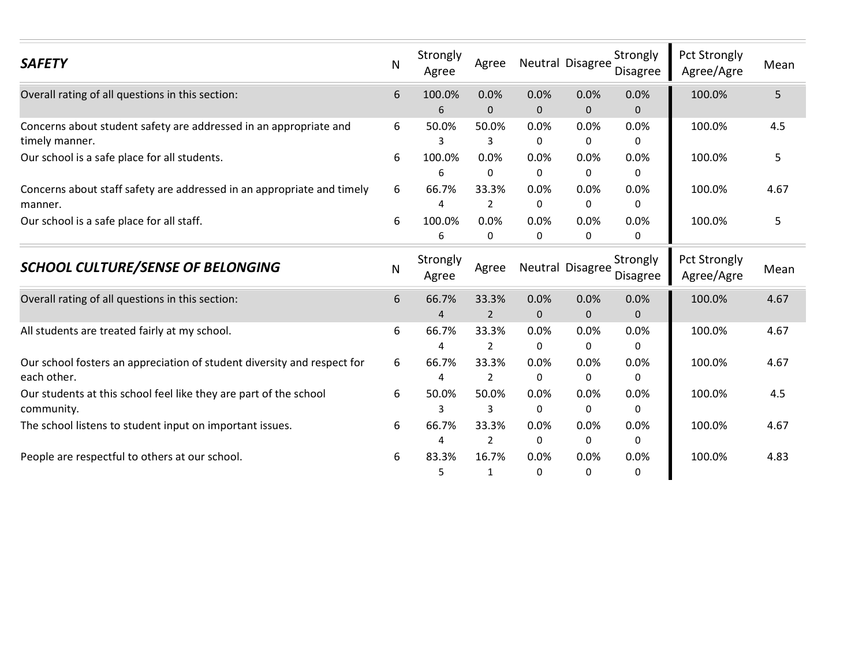| <b>SAFETY</b>                                                                          | N | Strongly<br>Agree       | Agree                   |                      | Neutral Disagree | Strongly<br>Disagree | Pct Strongly<br>Agree/Agre | Mean |
|----------------------------------------------------------------------------------------|---|-------------------------|-------------------------|----------------------|------------------|----------------------|----------------------------|------|
| Overall rating of all questions in this section:                                       | 6 | 100.0%<br>6             | 0.0%<br>$\mathbf{0}$    | 0.0%<br>$\mathbf{0}$ | 0.0%<br>0        | 0.0%<br>$\mathbf{0}$ | 100.0%                     | 5    |
| Concerns about student safety are addressed in an appropriate and<br>timely manner.    | 6 | 50.0%                   | 50.0%<br>3              | 0.0%<br>$\mathbf{0}$ | 0.0%<br>0        | 0.0%<br>0            | 100.0%                     | 4.5  |
| Our school is a safe place for all students.                                           | 6 | 100.0%<br>6             | 0.0%<br>$\mathbf{0}$    | 0.0%<br>$\mathbf{0}$ | 0.0%<br>0        | 0.0%<br>$\mathbf{0}$ | 100.0%                     | 5    |
| Concerns about staff safety are addressed in an appropriate and timely<br>manner.      | 6 | 66.7%                   | 33.3%<br>2              | 0.0%<br>0            | 0.0%<br>0        | 0.0%<br>0            | 100.0%                     | 4.67 |
| Our school is a safe place for all staff.                                              | 6 | 100.0%<br>6             | 0.0%<br>0               | 0.0%<br>$\Omega$     | 0.0%<br>0        | 0.0%<br>0            | 100.0%                     | 5    |
| <b>SCHOOL CULTURE/SENSE OF BELONGING</b>                                               | N | Strongly<br>Agree       | Agree                   |                      | Neutral Disagree | Strongly<br>Disagree | Pct Strongly<br>Agree/Agre | Mean |
| Overall rating of all questions in this section:                                       | 6 | 66.7%<br>$\overline{a}$ | 33.3%<br>$\overline{2}$ | 0.0%<br>$\mathbf 0$  | 0.0%<br>0        | 0.0%<br>$\mathbf{0}$ | 100.0%                     | 4.67 |
| All students are treated fairly at my school.                                          | 6 | 66.7%<br>4              | 33.3%<br>$\overline{2}$ | 0.0%<br>$\Omega$     | 0.0%<br>0        | 0.0%<br>0            | 100.0%                     | 4.67 |
| Our school fosters an appreciation of student diversity and respect for<br>each other. | 6 | 66.7%<br>4              | 33.3%<br>$\overline{2}$ | 0.0%<br>0            | 0.0%<br>0        | 0.0%<br>0            | 100.0%                     | 4.67 |
| Our students at this school feel like they are part of the school<br>community.        | 6 | 50.0%                   | 50.0%<br>3              | 0.0%<br>$\mathbf{0}$ | 0.0%<br>0        | 0.0%<br>0            | 100.0%                     | 4.5  |
| The school listens to student input on important issues.                               | 6 | 66.7%                   | 33.3%<br>2              | 0.0%<br>0            | 0.0%<br>0        | 0.0%<br>0            | 100.0%                     | 4.67 |
| People are respectful to others at our school.                                         | 6 | 83.3%<br>5              | 16.7%<br>$\mathbf{1}$   | 0.0%<br>0            | 0.0%<br>0        | 0.0%<br>0            | 100.0%                     | 4.83 |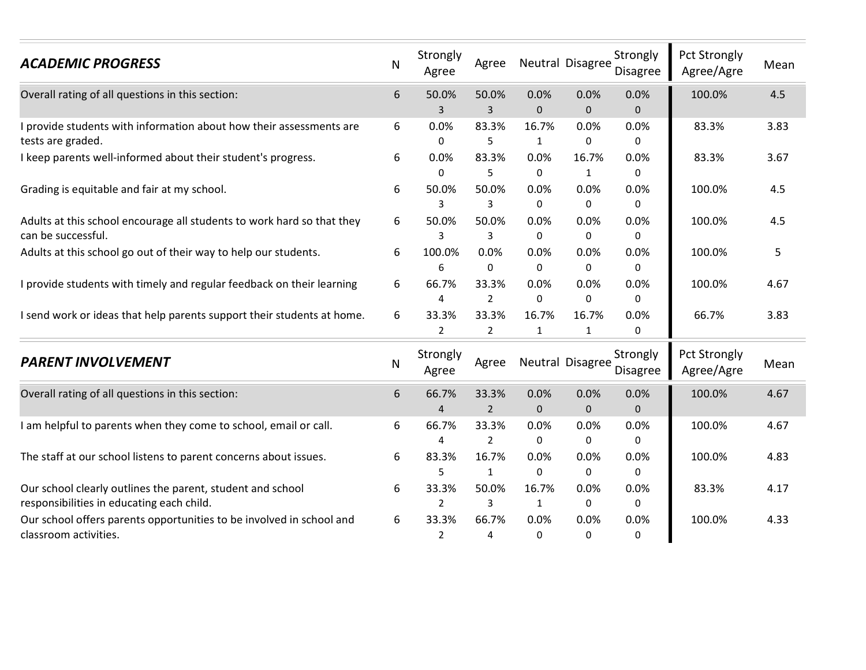| <b>ACADEMIC PROGRESS</b>                                                                                | N | Strongly<br>Agree       | Agree                   |                       | Neutral Disagree      | Strongly<br>Disagree | <b>Pct Strongly</b><br>Agree/Agre | Mean |
|---------------------------------------------------------------------------------------------------------|---|-------------------------|-------------------------|-----------------------|-----------------------|----------------------|-----------------------------------|------|
| Overall rating of all questions in this section:                                                        | 6 | 50.0%<br>3              | 50.0%<br>$\mathbf{3}$   | 0.0%<br>$\mathbf 0$   | 0.0%<br>$\mathbf 0$   | 0.0%<br>$\mathbf 0$  | 100.0%                            | 4.5  |
| I provide students with information about how their assessments are<br>tests are graded.                | 6 | 0.0%<br>0               | 83.3%<br>5              | 16.7%<br>$\mathbf{1}$ | 0.0%<br>0             | 0.0%<br>0            | 83.3%                             | 3.83 |
| I keep parents well-informed about their student's progress.                                            | 6 | 0.0%<br>0               | 83.3%<br>5              | 0.0%<br>0             | 16.7%<br>$\mathbf{1}$ | 0.0%<br>0            | 83.3%                             | 3.67 |
| Grading is equitable and fair at my school.                                                             | 6 | 50.0%<br>3              | 50.0%<br>3              | 0.0%<br>0             | 0.0%<br>0             | 0.0%<br>0            | 100.0%                            | 4.5  |
| Adults at this school encourage all students to work hard so that they<br>can be successful.            | 6 | 50.0%<br>3              | 50.0%<br>3              | 0.0%<br>$\Omega$      | 0.0%<br>$\Omega$      | 0.0%<br>0            | 100.0%                            | 4.5  |
| Adults at this school go out of their way to help our students.                                         | 6 | 100.0%<br>6             | 0.0%<br>0               | 0.0%<br>0             | 0.0%<br>0             | 0.0%<br>0            | 100.0%                            | 5    |
| I provide students with timely and regular feedback on their learning                                   | 6 | 66.7%<br>4              | 33.3%<br>$\overline{2}$ | 0.0%<br>$\mathbf 0$   | 0.0%<br>0             | 0.0%<br>0            | 100.0%                            | 4.67 |
| I send work or ideas that help parents support their students at home.                                  | 6 | 33.3%<br>$\overline{2}$ | 33.3%<br>$\overline{2}$ | 16.7%<br>$\mathbf{1}$ | 16.7%<br>1            | 0.0%<br>$\Omega$     | 66.7%                             | 3.83 |
| <b>PARENT INVOLVEMENT</b>                                                                               | N | Strongly<br>Agree       | Agree                   |                       | Neutral Disagree      | Strongly<br>Disagree | <b>Pct Strongly</b><br>Agree/Agre | Mean |
| Overall rating of all questions in this section:                                                        | 6 | 66.7%<br>4              | 33.3%<br>$\overline{2}$ | 0.0%<br>$\mathbf{0}$  | 0.0%<br>$\mathbf{0}$  | 0.0%<br>$\mathbf{0}$ | 100.0%                            | 4.67 |
| I am helpful to parents when they come to school, email or call.                                        | 6 | 66.7%<br>4              | 33.3%<br>$\overline{2}$ | 0.0%<br>0             | 0.0%<br>0             | 0.0%<br>$\pmb{0}$    | 100.0%                            | 4.67 |
| The staff at our school listens to parent concerns about issues.                                        | 6 | 83.3%<br>5              | 16.7%<br>$\mathbf{1}$   | 0.0%<br>$\mathbf{0}$  | 0.0%<br>0             | 0.0%<br>0            | 100.0%                            | 4.83 |
| Our school clearly outlines the parent, student and school<br>responsibilities in educating each child. | 6 | 33.3%<br>2              | 50.0%<br>3              | 16.7%<br>$\mathbf{1}$ | 0.0%<br>0             | 0.0%<br>$\pmb{0}$    | 83.3%                             | 4.17 |
| Our school offers parents opportunities to be involved in school and<br>classroom activities.           | 6 | 33.3%<br>2              | 66.7%<br>4              | 0.0%<br>0             | 0.0%<br>$\Omega$      | 0.0%<br>$\Omega$     | 100.0%                            | 4.33 |